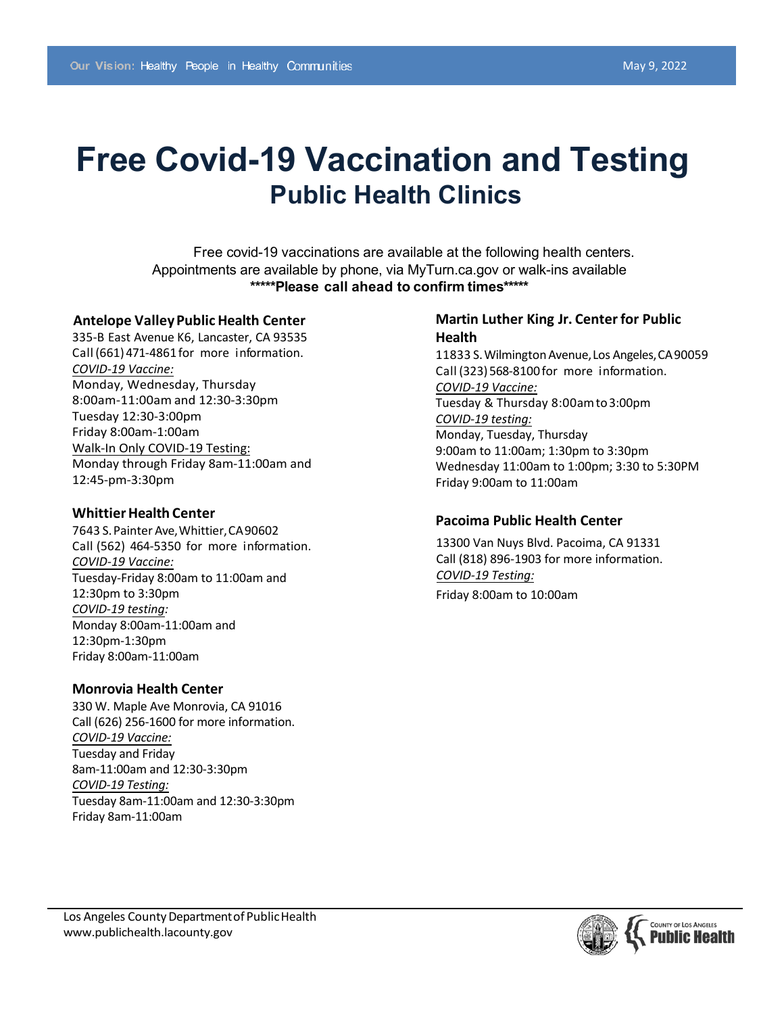# **Free Covid-19 Vaccination and Testing Public Health Clinics**

Free covid-19 vaccinations are available at the following health centers. Appointments are available by phone, via MyTurn.ca.gov or walk-ins available **\*\*\*\*\*Please call ahead to confirm times\*\*\*\*\***

### **Antelope ValleyPublic Health Center**

335-B East Avenue K6, Lancaster, CA 93535 Call (661)471-4861 for more information. *COVID-19 Vaccine:* Monday, Wednesday, Thursday 8:00am-11:00am and 12:30-3:30pm Tuesday 12:30-3:00pm Friday 8:00am-1:00am Walk-In Only COVID-19 Testing: Monday through Friday 8am-11:00am and 12:45-pm-3:30pm

### **Whittier Health Center**

7643 S.Painter Ave,Whittier,CA90602 Call (562) 464-5350 for more information. *COVID-19 Vaccine:* Tuesday-Friday 8:00am to 11:00am and 12:30pm to 3:30pm *COVID-19 testing:* Monday 8:00am-11:00am and 12:30pm-1:30pm Friday 8:00am-11:00am

## **Monrovia Health Center**

330 W. Maple Ave Monrovia, CA 91016 Call (626) 256-1600 for more information. *COVID-19 Vaccine:* Tuesday and Friday 8am-11:00am and 12:30-3:30pm *COVID-19 Testing:* Tuesday 8am-11:00am and 12:30-3:30pm Friday 8am-11:00am

# **Martin Luther King Jr. Centerfor Public Health**

11833 S. Wilmington Avenue, Los Angeles, CA 90059 Call (323) 568-8100 for more information. *COVID-19 Vaccine:* Tuesday & Thursday 8:00amto 3:00pm *COVID-19 testing:* Monday, Tuesday, Thursday 9:00am to 11:00am; 1:30pm to 3:30pm Wednesday 11:00am to 1:00pm; 3:30 to 5:30PM Friday 9:00am to 11:00am

# **Pacoima Public Health Center**

13300 Van Nuys Blvd. Pacoima, CA 91331 Call (818) 896-1903 for more information. *COVID-19 Testing:* Friday 8:00am to 10:00am